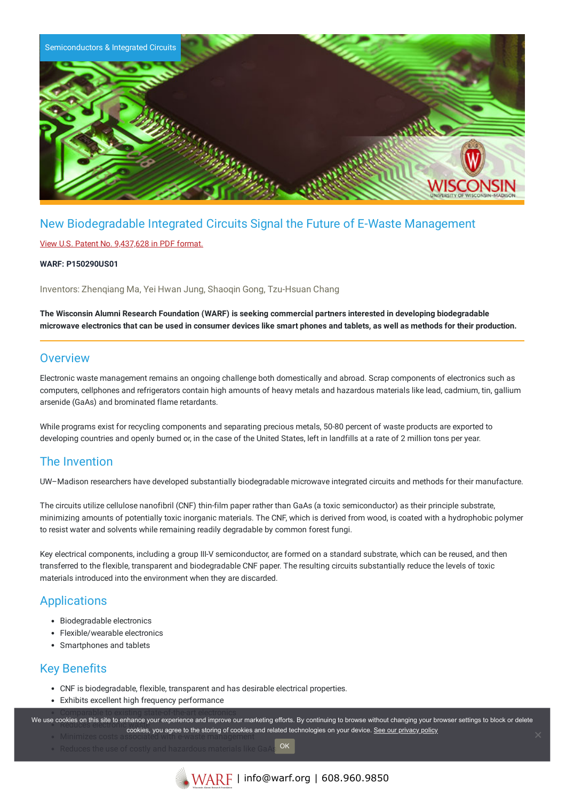

# New Biodegradable Integrated Circuits Signal the Future of E-Waste Management

### View U.S. Patent No. [9,437,628](https://www.warf.org/wp-content/uploads/technologies/ipstatus/P150290US01.PDF) in PDF format.

#### **WARF: P150290US01**

Inventors: Zhenqiang Ma, Yei Hwan Jung, Shaoqin Gong, Tzu-Hsuan Chang

**The Wisconsin Alumni Research Foundation (WARF) is seeking commercial partners interested in developing biodegradable** microwave electronics that can be used in consumer devices like smart phones and tablets, as well as methods for their production.

## **Overview**

Electronic waste management remains an ongoing challenge both domestically and abroad. Scrap components of electronics such as computers, cellphones and refrigerators contain high amounts of heavy metals and hazardous materials like lead, cadmium, tin, gallium arsenide (GaAs) and brominated flame retardants.

While programs exist for recycling components and separating precious metals, 50-80 percent of waste products are exported to developing countries and openly burned or, in the case of the United States, left in landfills at a rate of 2 million tons per year.

## The Invention

UW–Madison researchers have developed substantially biodegradable microwave integrated circuits and methods for their manufacture.

The circuits utilize cellulose nanofibril (CNF) thin-film paper rather than GaAs (a toxic semiconductor) as their principle substrate, minimizing amounts of potentially toxic inorganic materials. The CNF, which is derived from wood, is coated with a hydrophobic polymer to resist water and solvents while remaining readily degradable by common forest fungi.

Key electrical components, including a group III-V semiconductor, are formed on a standard substrate, which can be reused, and then transferred to the flexible, transparent and biodegradable CNF paper. The resulting circuits substantially reduce the levels of toxic materials introduced into the environment when they are discarded.

## Applications

- Biodegradable electronics
- Flexible/wearable electronics
- Smartphones and tablets

## Key Benefits

- CNF is biodegradable, flexible, transparent and has desirable electrical properties.
- Exhibits excellent high frequency performance

We use cookies on this site to enhance your experience and improve our marketing efforts. By continuing to browse without changing your browser settings to block or delete cookies, you agree to the storing of cookies and related technologies on your device. [See our privacy policy](https://www.warf.org/privacy-policy/)

OK

Minimizes costs associated with e-waste management